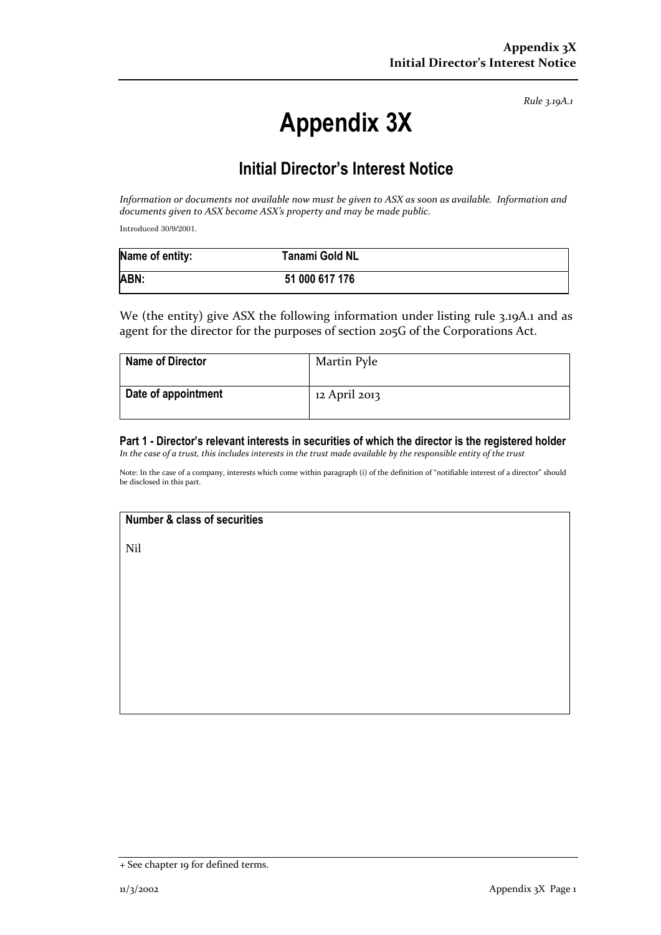*Rule 3.19A.1*

# **Appendix 3X**

## **Initial Director's Interest Notice**

*Information or documents not available now must be given to ASX as soon as available. Information and documents given to ASX become ASX's property and may be made public.*

Introduced 30/9/2001.

| Name of entity: | <b>Tanami Gold NL</b> |
|-----------------|-----------------------|
| ABN:            | 51 000 617 176        |

We (the entity) give ASX the following information under listing rule 3.19A.1 and as agent for the director for the purposes of section 205G of the Corporations Act.

| <b>Name of Director</b> | Martin Pyle   |
|-------------------------|---------------|
| Date of appointment     | 12 April 2013 |

#### **Part 1 - Director's relevant interests in securities of which the director is the registered holder** *In the case of a trust, this includes interests in the trust made available by the responsible entity of the trust*

Note: In the case of a company, interests which come within paragraph (i) of the definition of "notifiable interest of a director" should be disclosed in this part.

### **Number & class of securities**

Nil

<sup>+</sup> See chapter 19 for defined terms.